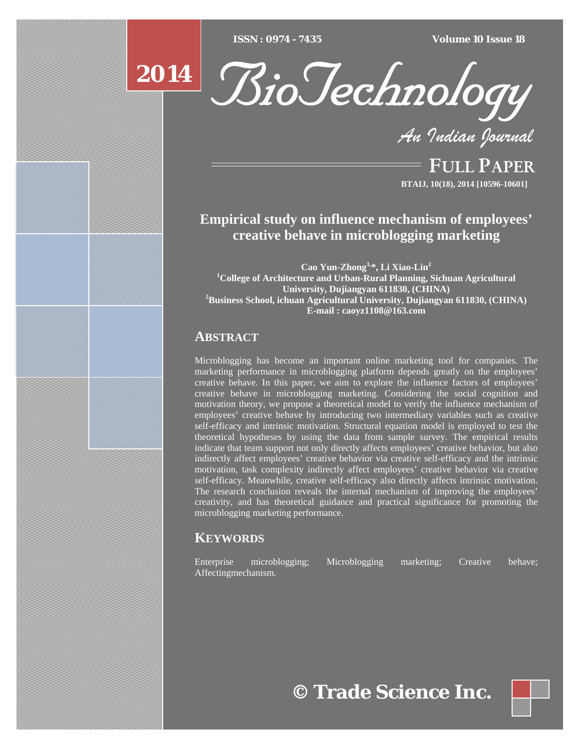$ISSN : 0974 - 7435$ 

*ISSN : 0974 - 7435 Volume 10 Issue 18*





*An Indian Journal*

FULL PAPER **BTAIJ, 10(18), 2014 [10596-10601]**

# **Empirical study on influence mechanism of employees' creative behave in microblogging marketing**

**Cao Yun-Zhong1,\*, Li Xiao-Lin2 1 College of Architecture and Urban-Rural Planning, Sichuan Agricultural University, Dujiangyan 611830, (CHINA) 2** <sup>2</sup>Business School, ichuan Agricultural University, Dujiangyan 611830, (CHINA) **E-mail : caoyz1108@163.com**

# **ABSTRACT**

Microblogging has become an important online marketing tool for companies. The marketing performance in microblogging platform depends greatly on the employees' creative behave. In this paper, we aim to explore the influence factors of employees' creative behave in microblogging marketing. Considering the social cognition and motivation theory, we propose a theoretical model to verify the influence mechanism of employees' creative behave by introducing two intermediary variables such as creative self-efficacy and intrinsic motivation. Structural equation model is employed to test the theoretical hypotheses by using the data from sample survey. The empirical results indicate that team support not only directly affects employees' creative behavior, but also indirectly affect employees' creative behavior via creative self-efficacy and the intrinsic motivation, task complexity indirectly affect employees' creative behavior via creative self-efficacy. Meanwhile, creative self-efficacy also directly affects intrinsic motivation. The research conclusion reveals the internal mechanism of improving the employees' creativity, and has theoretical guidance and practical significance for promoting the microblogging marketing performance.

# **KEYWORDS**

Enterprise microblogging; Microblogging marketing; Creative behave; Affectingmechanism.

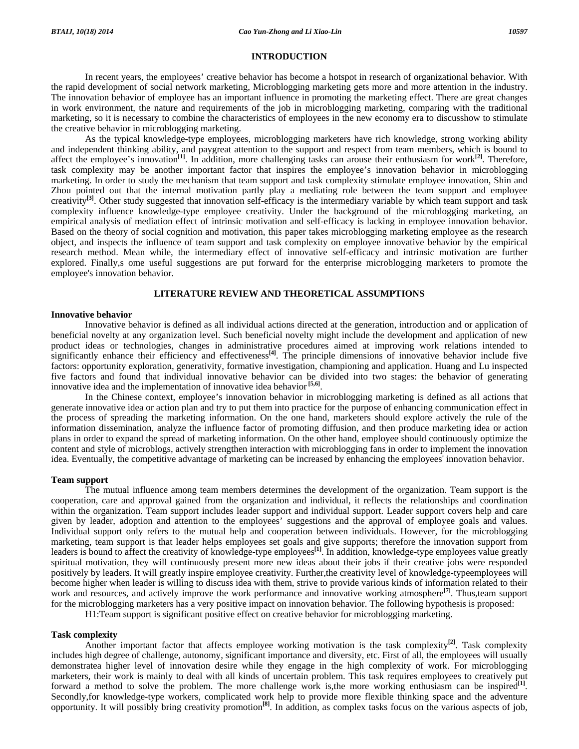#### **INTRODUCTION**

 In recent years, the employees' creative behavior has become a hotspot in research of organizational behavior. With the rapid development of social network marketing, Microblogging marketing gets more and more attention in the industry. The innovation behavior of employee has an important influence in promoting the marketing effect. There are great changes in work environment, the nature and requirements of the job in microblogging marketing, comparing with the traditional marketing, so it is necessary to combine the characteristics of employees in the new economy era to discusshow to stimulate the creative behavior in microblogging marketing.

 As the typical knowledge-type employees, microblogging marketers have rich knowledge, strong working ability and independent thinking ability, and paygreat attention to the support and respect from team members, which is bound to affect the employee's innovation**[1]**. In addition, more challenging tasks can arouse their enthusiasm for work**[2]**. Therefore, task complexity may be another important factor that inspires the employee's innovation behavior in microblogging marketing. In order to study the mechanism that team support and task complexity stimulate employee innovation, Shin and Zhou pointed out that the internal motivation partly play a mediating role between the team support and employee creativity<sup>[3]</sup>. Other study suggested that innovation self-efficacy is the intermediary variable by which team support and task complexity influence knowledge-type employee creativity. Under the background of the microblogging marketing, an empirical analysis of mediation effect of intrinsic motivation and self-efficacy is lacking in employee innovation behavior. Based on the theory of social cognition and motivation, this paper takes microblogging marketing employee as the research object, and inspects the influence of team support and task complexity on employee innovative behavior by the empirical research method. Mean while, the intermediary effect of innovative self-efficacy and intrinsic motivation are further explored. Finally,s ome useful suggestions are put forward for the enterprise microblogging marketers to promote the employee's innovation behavior.

#### **LITERATURE REVIEW AND THEORETICAL ASSUMPTIONS**

#### **Innovative behavior**

 Innovative behavior is defined as all individual actions directed at the generation, introduction and or application of beneficial novelty at any organization level. Such beneficial novelty might include the development and application of new product ideas or technologies, changes in administrative procedures aimed at improving work relations intended to significantly enhance their efficiency and effectiveness**[4]**. The principle dimensions of innovative behavior include five factors: opportunity exploration, generativity, formative investigation, championing and application. Huang and Lu inspected five factors and found that individual innovative behavior can be divided into two stages: the behavior of generating innovative idea and the implementation of innovative idea behavior<sup>[5,6]</sup>.

 In the Chinese context, employee's innovation behavior in microblogging marketing is defined as all actions that generate innovative idea or action plan and try to put them into practice for the purpose of enhancing communication effect in the process of spreading the marketing information. On the one hand, marketers should explore actively the rule of the information dissemination, analyze the influence factor of promoting diffusion, and then produce marketing idea or action plans in order to expand the spread of marketing information. On the other hand, employee should continuously optimize the content and style of microblogs, actively strengthen interaction with microblogging fans in order to implement the innovation idea. Eventually, the competitive advantage of marketing can be increased by enhancing the employees' innovation behavior.

#### **Team support**

 The mutual influence among team members determines the development of the organization. Team support is the cooperation, care and approval gained from the organization and individual, it reflects the relationships and coordination within the organization. Team support includes leader support and individual support. Leader support covers help and care given by leader, adoption and attention to the employees' suggestions and the approval of employee goals and values. Individual support only refers to the mutual help and cooperation between individuals. However, for the microblogging marketing, team support is that leader helps employees set goals and give supports; therefore the innovation support from leaders is bound to affect the creativity of knowledge-type employees**[1]**. In addition, knowledge-type employees value greatly spiritual motivation, they will continuously present more new ideas about their jobs if their creative jobs were responded positively by leaders. It will greatly inspire employee creativity. Further,the creativity level of knowledge-typeemployees will become higher when leader is willing to discuss idea with them, strive to provide various kinds of information related to their work and resources, and actively improve the work performance and innovative working atmosphere<sup>[7]</sup>. Thus,team support for the microblogging marketers has a very positive impact on innovation behavior. The following hypothesis is proposed:

H1:Team support is significant positive effect on creative behavior for microblogging marketing.

#### **Task complexity**

 Another important factor that affects employee working motivation is the task complexity**[2]**. Task complexity includes high degree of challenge, autonomy, significant importance and diversity, etc. First of all, the employees will usually demonstratea higher level of innovation desire while they engage in the high complexity of work. For microblogging marketers, their work is mainly to deal with all kinds of uncertain problem. This task requires employees to creatively put forward a method to solve the problem. The more challenge work is,the more working enthusiasm can be inspired**[1]**. Secondly,for knowledge-type workers, complicated work help to provide more flexible thinking space and the adventure opportunity. It will possibly bring creativity promotion**[8]**. In addition, as complex tasks focus on the various aspects of job,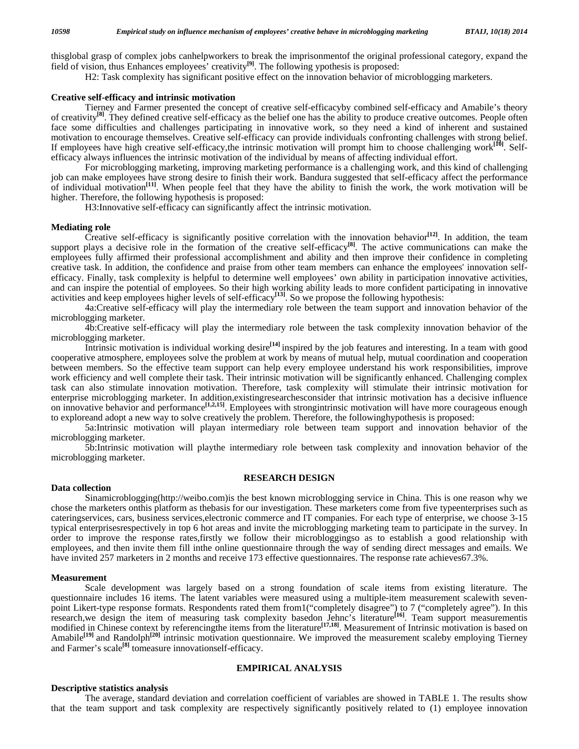thisglobal grasp of complex jobs canhelpworkers to break the imprisonmentof the original professional category, expand the field of vision, thus Enhances employees' creativity**[9]**. The following ypothesis is proposed:

H2: Task complexity has significant positive effect on the innovation behavior of microblogging marketers.

### **Creative self-efficacy and intrinsic motivation**

 Tierney and Farmer presented the concept of creative self-efficacyby combined self-efficacy and Amabile's theory of creativity**[8]**. They defined creative self-efficacy as the belief one has the ability to produce creative outcomes. People often face some difficulties and challenges participating in innovative work, so they need a kind of inherent and sustained motivation to encourage themselves. Creative self-efficacy can provide individuals confronting challenges with strong belief. If employees have high creative self-efficacy,the intrinsic motivation will prompt him to choose challenging work<sup>[10]</sup>. Selfefficacy always influences the intrinsic motivation of the individual by means of affecting individual effort.

 For microblogging marketing, improving marketing performance is a challenging work, and this kind of challenging job can make employees have strong desire to finish their work. Bandura suggested that self-efficacy affect the performance of individual motivation**[11]**. When people feel that they have the ability to finish the work, the work motivation will be higher. Therefore, the following hypothesis is proposed:

H3:Innovative self-efficacy can significantly affect the intrinsic motivation.

### **Mediating role**

 Creative self-efficacy is significantly positive correlation with the innovation behavior**[12]**. In addition, the team support plays a decisive role in the formation of the creative self-efficacy<sup>[8]</sup>. The active communications can make the employees fully affirmed their professional accomplishment and ability and then improve their confidence in completing creative task. In addition, the confidence and praise from other team members can enhance the employees' innovation selfefficacy. Finally, task complexity is helpful to determine well employees' own ability in participation innovative activities, and can inspire the potential of employees. So their high working ability leads to more confident participating in innovative activities and keep employees higher levels of self-efficacy<sup>[13]</sup>. So we propose the following hypothesis:

 4a:Creative self-efficacy will play the intermediary role between the team support and innovation behavior of the microblogging marketer.

 4b:Creative self-efficacy will play the intermediary role between the task complexity innovation behavior of the microblogging marketer.

 Intrinsic motivation is individual working desire**[14]** inspired by the job features and interesting. In a team with good cooperative atmosphere, employees solve the problem at work by means of mutual help, mutual coordination and cooperation between members. So the effective team support can help every employee understand his work responsibilities, improve work efficiency and well complete their task. Their intrinsic motivation will be significantly enhanced. Challenging complex task can also stimulate innovation motivation. Therefore, task complexity will stimulate their intrinsic motivation for enterprise microblogging marketer. In addition,existingresearchesconsider that intrinsic motivation has a decisive influence on innovative behavior and performance**[1,2,15]**. Employees with strongintrinsic motivation will have more courageous enough to exploreand adopt a new way to solve creatively the problem. Therefore, the followinghypothesis is proposed:

 5a:Intrinsic motivation will playan intermediary role between team support and innovation behavior of the microblogging marketer.

 5b:Intrinsic motivation will playthe intermediary role between task complexity and innovation behavior of the microblogging marketer.

## **RESEARCH DESIGN**

### **Data collection**

 Sinamicroblogging(http://weibo.com)is the best known microblogging service in China. This is one reason why we chose the marketers onthis platform as thebasis for our investigation. These marketers come from five typeenterprises such as cateringservices, cars, business services,electronic commerce and IT companies. For each type of enterprise, we choose 3-15 typical enterprisesrespectively in top 6 hot areas and invite the microblogging marketing team to participate in the survey. In order to improve the response rates,firstly we follow their microbloggingso as to establish a good relationship with employees, and then invite them fill inthe online questionnaire through the way of sending direct messages and emails. We have invited 257 marketers in 2 months and receive 173 effective questionnaires. The response rate achieves67.3%.

#### **Measurement**

 Scale development was largely based on a strong foundation of scale items from existing literature. The questionnaire includes 16 items. The latent variables were measured using a multiple-item measurement scalewith sevenpoint Likert-type response formats. Respondents rated them from1("completely disagree") to 7 ("completely agree"). In this research,we design the item of measuring task complexity basedon Jehnc's literature**[16]**. Team support measurementis modified in Chinese context by referencingthe items from the literature<sup>[17,18]</sup>. Measurement of Intrinsic motivation is based on Amabile<sup>[19]</sup> and Randolph<sup>[20]</sup> intrinsic motivation questionnaire. We improved the measurement scaleby employing Tierney and Farmer's scale<sup>[8]</sup> tomeasure innovationself-efficacy.

## **EMPIRICAL ANALYSIS**

### **Descriptive statistics analysis**

 The average, standard deviation and correlation coefficient of variables are showed in TABLE 1. The results show that the team support and task complexity are respectively significantly positively related to (1) employee innovation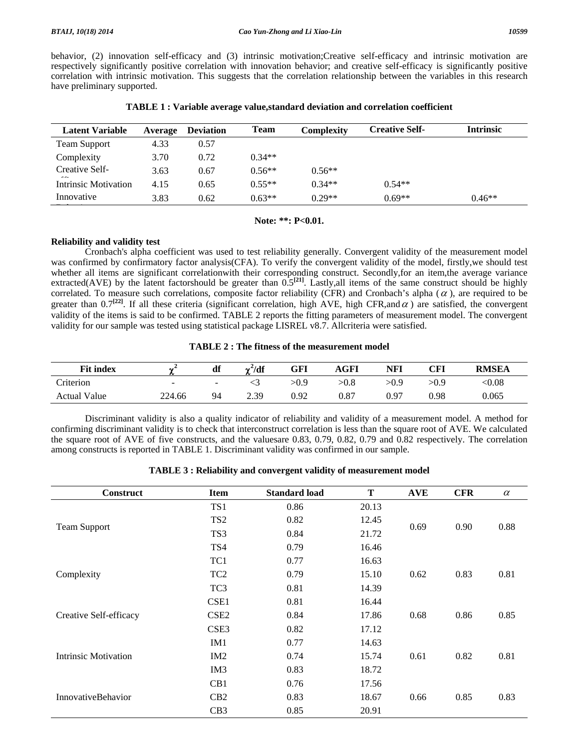behavior, (2) innovation self-efficacy and (3) intrinsic motivation;Creative self-efficacy and intrinsic motivation are respectively significantly positive correlation with innovation behavior; and creative self-efficacy is significantly positive correlation with intrinsic motivation. This suggests that the correlation relationship between the variables in this research have preliminary supported.

| <b>Latent Variable</b> | Average | <b>Deviation</b> | <b>Team</b> | Complexity | <b>Creative Self-</b> | <b>Intrinsic</b> |
|------------------------|---------|------------------|-------------|------------|-----------------------|------------------|
| Team Support           | 4.33    | 0.57             |             |            |                       |                  |
| Complexity             | 3.70    | 0.72             | $0.34**$    |            |                       |                  |
| Creative Self-<br>---  | 3.63    | 0.67             | $0.56**$    | $0.56**$   |                       |                  |
| Intrinsic Motivation   | 4.15    | 0.65             | $0.55**$    | $0.34**$   | $0.54**$              |                  |
| Innovative             | 3.83    | 0.62             | $0.63**$    | $0.29**$   | $0.69**$              | $0.46**$         |
|                        |         |                  |             |            |                       |                  |

**TABLE 1 : Variable average value,standard deviation and correlation coefficient** 

**Note: \*\*: P<0.01.** 

# **Reliability and validity test**

 Cronbach's alpha coefficient was used to test reliability generally. Convergent validity of the measurement model was confirmed by confirmatory factor analysis(CFA). To verify the convergent validity of the model, firstly,we should test whether all items are significant correlationwith their corresponding construct. Secondly,for an item,the average variance extracted(AVE) by the latent factorshould be greater than  $0.5^{[21]}$ . Lastly, all items of the same construct should be highly correlated. To measure such correlations, composite factor reliability (CFR) and Cronbach's alpha  $(\alpha)$ , are required to be greater than  $0.7^{[22]}$ . If all these criteria (significant correlation, high AVE, high CFR,and  $\alpha$ ) are satisfied, the convergent validity of the items is said to be confirmed. TABLE 2 reports the fitting parameters of measurement model. The convergent validity for our sample was tested using statistical package LISREL v8.7. Allcriteria were satisfied.

| <b>Fit index</b>    | -      | df                       | $\gamma^2/df$ | GFI        | AGFI | NFI        | CFI  | <b>RMSEA</b>            |
|---------------------|--------|--------------------------|---------------|------------|------|------------|------|-------------------------|
| <b>Triterion</b>    | $\sim$ | $\overline{\phantom{0}}$ |               | $>\!\!0.9$ | >0.8 | $>\!\!0.9$ | >0.9 | $< \hspace{-0.5mm}0.08$ |
| <b>Actual Value</b> | 224.66 | 94                       | 2.39          | 0.92       | 0.87 | 0.97       | 0.98 | 0.065                   |

 Discriminant validity is also a quality indicator of reliability and validity of a measurement model. A method for confirming discriminant validity is to check that interconstruct correlation is less than the square root of AVE. We calculated the square root of AVE of five constructs, and the valuesare 0.83, 0.79, 0.82, 0.79 and 0.82 respectively. The correlation among constructs is reported in TABLE 1. Discriminant validity was confirmed in our sample.

| <b>Construct</b>       | <b>Item</b>      | <b>Standard load</b> | Т     | <b>AVE</b> | <b>CFR</b> | $\alpha$ |
|------------------------|------------------|----------------------|-------|------------|------------|----------|
|                        | TS1              | 0.86                 | 20.13 |            |            |          |
|                        | TS <sub>2</sub>  | 0.82                 | 12.45 |            |            |          |
| <b>Team Support</b>    | TS3              | 0.84                 | 21.72 | 0.69       | 0.90       | 0.88     |
|                        | TS4              | 0.79                 | 16.46 |            |            |          |
|                        | TC1              | 0.77                 | 16.63 |            |            |          |
| Complexity             | TC <sub>2</sub>  | 0.79                 | 15.10 | 0.62       | 0.83       | 0.81     |
|                        | TC <sub>3</sub>  | 0.81                 | 14.39 |            |            |          |
|                        | CSE1             | 0.81                 | 16.44 |            |            |          |
| Creative Self-efficacy | CSE <sub>2</sub> | 0.84                 | 17.86 | 0.68       | 0.86       | 0.85     |
|                        | CSE <sub>3</sub> | 0.82                 | 17.12 |            |            |          |
|                        | IM1              | 0.77                 | 14.63 |            |            |          |
| Intrinsic Motivation   | IM2              | 0.74                 | 15.74 | 0.61       | 0.82       | 0.81     |
|                        | IM3              | 0.83                 | 18.72 |            |            |          |
|                        | CB1              | 0.76                 | 17.56 |            |            |          |
| InnovativeBehavior     | CB2              | 0.83                 | 18.67 | 0.66       | 0.85       | 0.83     |
|                        | CB <sub>3</sub>  | 0.85                 | 20.91 |            |            |          |

| TABLE 3 : Reliability and convergent validity of measurement model |
|--------------------------------------------------------------------|
|--------------------------------------------------------------------|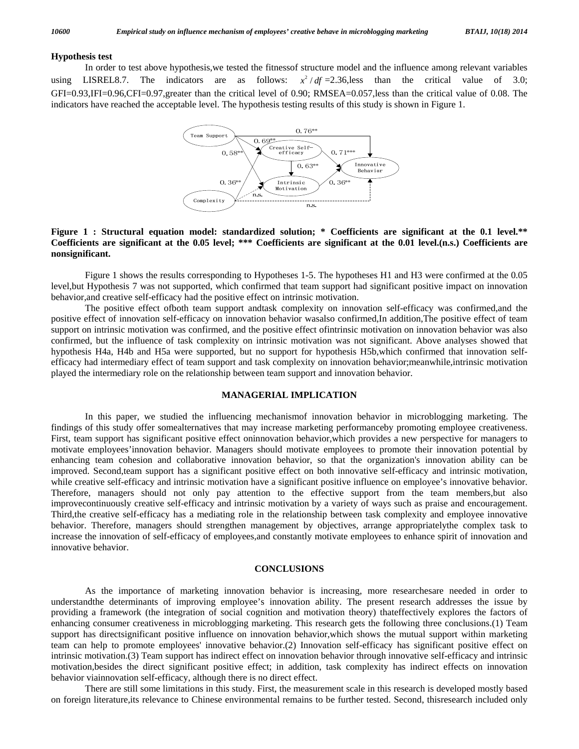# **Hypothesis test**

 In order to test above hypothesis,we tested the fitnessof structure model and the influence among relevant variables using LISREL8.7. The indicators are as follows:  $x^2/df = 2.36$ , less  $\theta$  than the critical value of 3.0; GFI=0.93,IFI=0.96,CFI=0.97,greater than the critical level of 0.90; RMSEA=0.057,less than the critical value of 0.08. The indicators have reached the acceptable level. The hypothesis testing results of this study is shown in Figure 1.



## **Figure 1 : Structural equation model: standardized solution; \* Coefficients are significant at the 0.1 level.\*\* Coefficients are significant at the 0.05 level; \*\*\* Coefficients are significant at the 0.01 level.(n.s.) Coefficients are nonsignificant.**

 Figure 1 shows the results corresponding to Hypotheses 1-5. The hypotheses H1 and H3 were confirmed at the 0.05 level,but Hypothesis 7 was not supported, which confirmed that team support had significant positive impact on innovation behavior,and creative self-efficacy had the positive effect on intrinsic motivation.

 The positive effect ofboth team support andtask complexity on innovation self-efficacy was confirmed,and the positive effect of innovation self-efficacy on innovation behavior wasalso confirmed,In addition,The positive effect of team support on intrinsic motivation was confirmed, and the positive effect ofintrinsic motivation on innovation behavior was also confirmed, but the influence of task complexity on intrinsic motivation was not significant. Above analyses showed that hypothesis H4a, H4b and H5a were supported, but no support for hypothesis H5b,which confirmed that innovation selfefficacy had intermediary effect of team support and task complexity on innovation behavior;meanwhile,intrinsic motivation played the intermediary role on the relationship between team support and innovation behavior.

## **MANAGERIAL IMPLICATION**

 In this paper, we studied the influencing mechanismof innovation behavior in microblogging marketing. The findings of this study offer somealternatives that may increase marketing performanceby promoting employee creativeness. First, team support has significant positive effect oninnovation behavior,which provides a new perspective for managers to motivate employees'innovation behavior. Managers should motivate employees to promote their innovation potential by enhancing team cohesion and collaborative innovation behavior, so that the organization's innovation ability can be improved. Second,team support has a significant positive effect on both innovative self-efficacy and intrinsic motivation, while creative self-efficacy and intrinsic motivation have a significant positive influence on employee's innovative behavior. Therefore, managers should not only pay attention to the effective support from the team members,but also improvecontinuously creative self-efficacy and intrinsic motivation by a variety of ways such as praise and encouragement. Third,the creative self-efficacy has a mediating role in the relationship between task complexity and employee innovative behavior. Therefore, managers should strengthen management by objectives, arrange appropriatelythe complex task to increase the innovation of self-efficacy of employees,and constantly motivate employees to enhance spirit of innovation and innovative behavior.

#### **CONCLUSIONS**

 As the importance of marketing innovation behavior is increasing, more researchesare needed in order to understandthe determinants of improving employee's innovation ability. The present research addresses the issue by providing a framework (the integration of social cognition and motivation theory) thateffectively explores the factors of enhancing consumer creativeness in microblogging marketing. This research gets the following three conclusions.(1) Team support has directsignificant positive influence on innovation behavior,which shows the mutual support within marketing team can help to promote employees' innovative behavior.(2) Innovation self-efficacy has significant positive effect on intrinsic motivation.(3) Team support has indirect effect on innovation behavior through innovative self-efficacy and intrinsic motivation,besides the direct significant positive effect; in addition, task complexity has indirect effects on innovation behavior viainnovation self-efficacy, although there is no direct effect.

 There are still some limitations in this study. First, the measurement scale in this research is developed mostly based on foreign literature,its relevance to Chinese environmental remains to be further tested. Second, thisresearch included only